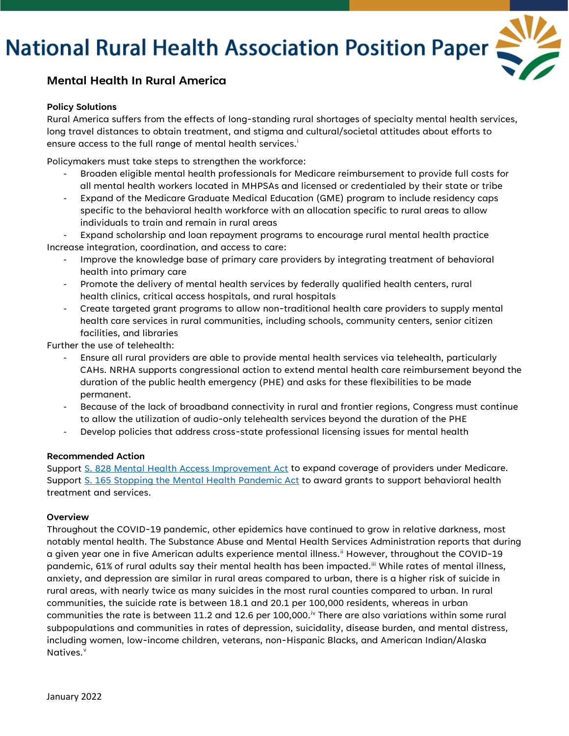# **National Rural Health Association Position Paper**



### **Mental Health In Rural America**

#### **Policy Solutions**

Rural America suffers from the effects of long-standing rural shortages of specialty mental health services, long travel distances to obtain treatment, and stigma and cultural/societal attitudes about efforts to ensure access to the full range of mental health serv[i](#page-1-0)ces.<sup>i</sup>

Policymakers must take steps to strengthen the workforce:

- Broaden eligible mental health professionals for Medicare reimbursement to provide full costs for all mental health workers located in MHPSAs and licensed or credentialed by their state or tribe
- Expand of the Medicare Graduate Medical Education (GME) program to include residency caps specific to the behavioral health workforce with an allocation specific to rural areas to allow individuals to train and remain in rural areas

Expand scholarship and loan repayment programs to encourage rural mental health practice Increase integration, coordination, and access to care:

- Improve the knowledge base of primary care providers by integrating treatment of behavioral health into primary care
- Promote the delivery of mental health services by federally qualified health centers, rural health clinics, critical access hospitals, and rural hospitals
- Create targeted grant programs to allow non-traditional health care providers to supply mental health care services in rural communities, including schools, community centers, senior citizen facilities, and libraries

Further the use of telehealth:

- Ensure all rural providers are able to provide mental health services via telehealth, particularly CAHs. NRHA supports congressional action to extend mental health care reimbursement beyond the duration of the public health emergency (PHE) and asks for these flexibilities to be made permanent.
- Because of the lack of broadband connectivity in rural and frontier regions, Congress must continue to allow the utilization of audio-only telehealth services beyond the duration of the PHE
- Develop policies that address cross-state professional licensing issues for mental health

#### **Recommended Action**

Support [S. 828 Mental Health Access Improvement Act](https://www.congress.gov/bill/117th-congress/senate-bill/828?q=%7B%22search%22%3A%5B%22s.+828%22%2C%22s.%22%2C%22828%22%5D%7D&s=1&r=2) to expand coverage of providers under Medicare. Support [S. 165 Stopping the Mental Health Pandemic Act](https://www.congress.gov/bill/117th-congress/senate-bill/165) to award grants to support behavioral health treatment and services.

#### **Overview**

Throughout the COVID-19 pandemic, other epidemics have continued to grow in relative darkness, most notably mental health. The Substance Abuse and Mental Health Services Administration reports that during a given year one in five American adults experience mental illness.<sup>[ii](#page-1-1)</sup> However, throughout the COVID-19 pandemic, 61% of rural adults say their mental health has been impacted.<sup>ii</sup> While rates of mental illness, anxiety, and depression are similar in rural areas compared to urban, there is a higher risk of suicide in rural areas, with nearly twice as many suicides in the most rural counties compared to urban. In rural communities, the suicide rate is between 18.1 and 20.1 per 100,000 residents, whereas in urban communities the rate is between 11.2 and 12.6 per 100,000.<sup>[iv](#page-1-3)</sup> There are also variations within some rural subpopulations and communities in rates of depression, suicidality, disease burden, and mental distress, including women, low-income children, veterans, non-Hispanic Blacks, and American Indian/Alaska Nati[v](#page-1-4)es.<sup>v</sup>